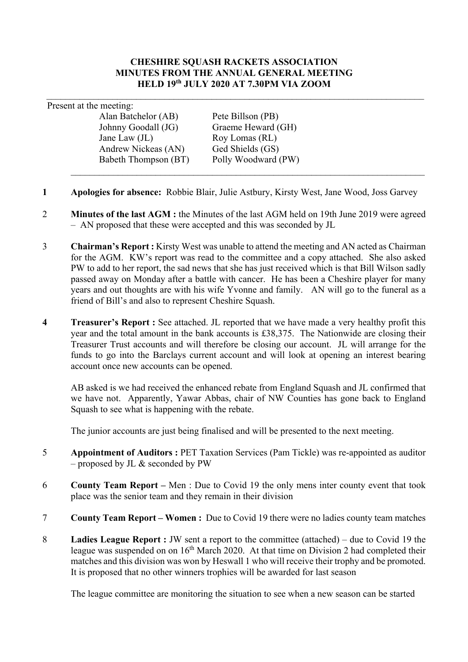#### **CHESHIRE SQUASH RACKETS ASSOCIATION MINUTES FROM THE ANNUAL GENERAL MEETING HELD 19th JULY 2020 AT 7.30PM VIA ZOOM**

Present at the meeting:

Alan Batchelor (AB) Pete Billson (PB) Johnny Goodall (JG) Graeme Heward (GH) Jane Law (JL) Roy Lomas (RL) Andrew Nickeas (AN) Ged Shields (GS)<br>Babeth Thompson (BT) Polly Woodward (PW) Babeth Thompson (BT)

- **1 Apologies for absence:** Robbie Blair, Julie Astbury, Kirsty West, Jane Wood, Joss Garvey
- 2 **Minutes of the last AGM :** the Minutes of the last AGM held on 19th June 2019 were agreed – AN proposed that these were accepted and this was seconded by JL
- 3 **Chairman's Report :** Kirsty West was unable to attend the meeting and AN acted as Chairman for the AGM. KW's report was read to the committee and a copy attached. She also asked PW to add to her report, the sad news that she has just received which is that Bill Wilson sadly passed away on Monday after a battle with cancer. He has been a Cheshire player for many years and out thoughts are with his wife Yvonne and family. AN will go to the funeral as a friend of Bill's and also to represent Cheshire Squash.
- **4 Treasurer's Report :** See attached. JL reported that we have made a very healthy profit this year and the total amount in the bank accounts is £38,375. The Nationwide are closing their Treasurer Trust accounts and will therefore be closing our account. JL will arrange for the funds to go into the Barclays current account and will look at opening an interest bearing account once new accounts can be opened.

AB asked is we had received the enhanced rebate from England Squash and JL confirmed that we have not. Apparently, Yawar Abbas, chair of NW Counties has gone back to England Squash to see what is happening with the rebate.

The junior accounts are just being finalised and will be presented to the next meeting.

- 5 **Appointment of Auditors :** PET Taxation Services (Pam Tickle) was re-appointed as auditor – proposed by JL & seconded by PW
- 6 **County Team Report –** Men : Due to Covid 19 the only mens inter county event that took place was the senior team and they remain in their division
- 7 **County Team Report – Women :** Due to Covid 19 there were no ladies county team matches
- 8 **Ladies League Report :** JW sent a report to the committee (attached) due to Covid 19 the league was suspended on on 16<sup>th</sup> March 2020. At that time on Division 2 had completed their matches and this division was won by Heswall 1 who will receive their trophy and be promoted. It is proposed that no other winners trophies will be awarded for last season

The league committee are monitoring the situation to see when a new season can be started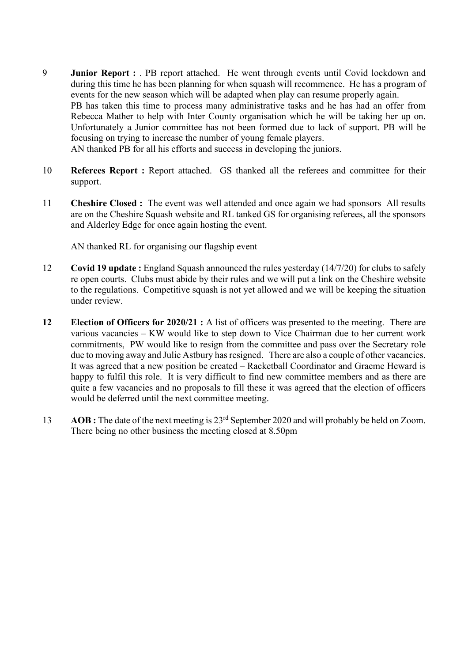9 **Junior Report :** . PB report attached. He went through events until Covid lockdown and during this time he has been planning for when squash will recommence. He has a program of events for the new season which will be adapted when play can resume properly again. PB has taken this time to process many administrative tasks and he has had an offer from Rebecca Mather to help with Inter County organisation which he will be taking her up on. Unfortunately a Junior committee has not been formed due to lack of support. PB will be focusing on trying to increase the number of young female players. AN thanked PB for all his efforts and success in developing the juniors.

10 **Referees Report :** Report attached. GS thanked all the referees and committee for their support.

11 **Cheshire Closed :** The event was well attended and once again we had sponsors All results are on the Cheshire Squash website and RL tanked GS for organising referees, all the sponsors and Alderley Edge for once again hosting the event.

AN thanked RL for organising our flagship event

- 12 **Covid 19 update :** England Squash announced the rules yesterday (14/7/20) for clubs to safely re open courts. Clubs must abide by their rules and we will put a link on the Cheshire website to the regulations. Competitive squash is not yet allowed and we will be keeping the situation under review.
- **12 Election of Officers for 2020/21 :** A list of officers was presented to the meeting. There are various vacancies – KW would like to step down to Vice Chairman due to her current work commitments, PW would like to resign from the committee and pass over the Secretary role due to moving away and Julie Astbury has resigned. There are also a couple of other vacancies. It was agreed that a new position be created – Racketball Coordinator and Graeme Heward is happy to fulfil this role. It is very difficult to find new committee members and as there are quite a few vacancies and no proposals to fill these it was agreed that the election of officers would be deferred until the next committee meeting.
- 13 **AOB :** The date of the next meeting is 23rd September 2020 and will probably be held on Zoom. There being no other business the meeting closed at 8.50pm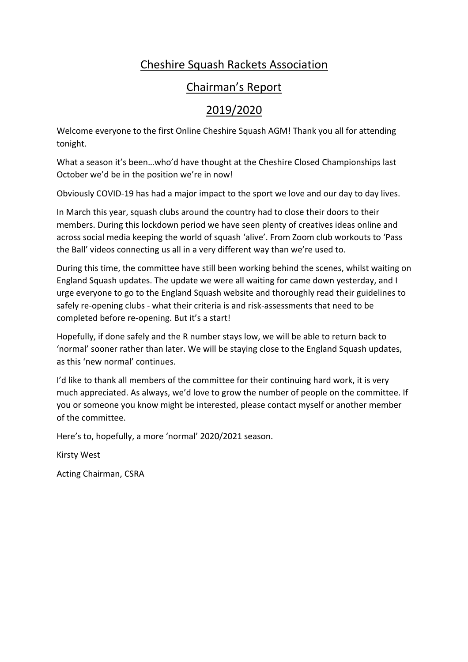# Cheshire Squash Rackets Association

# Chairman's Report

# 2019/2020

Welcome everyone to the first Online Cheshire Squash AGM! Thank you all for attending tonight.

What a season it's been…who'd have thought at the Cheshire Closed Championships last October we'd be in the position we're in now!

Obviously COVID-19 has had a major impact to the sport we love and our day to day lives.

In March this year, squash clubs around the country had to close their doors to their members. During this lockdown period we have seen plenty of creatives ideas online and across social media keeping the world of squash 'alive'. From Zoom club workouts to 'Pass the Ball' videos connecting us all in a very different way than we're used to.

During this time, the committee have still been working behind the scenes, whilst waiting on England Squash updates. The update we were all waiting for came down yesterday, and I urge everyone to go to the England Squash website and thoroughly read their guidelines to safely re-opening clubs - what their criteria is and risk-assessments that need to be completed before re-opening. But it's a start!

Hopefully, if done safely and the R number stays low, we will be able to return back to 'normal' sooner rather than later. We will be staying close to the England Squash updates, as this 'new normal' continues.

I'd like to thank all members of the committee for their continuing hard work, it is very much appreciated. As always, we'd love to grow the number of people on the committee. If you or someone you know might be interested, please contact myself or another member of the committee.

Here's to, hopefully, a more 'normal' 2020/2021 season.

Kirsty West

Acting Chairman, CSRA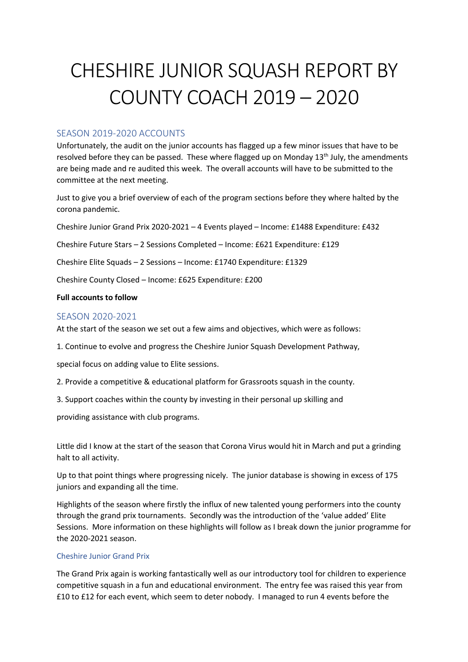# CHESHIRE JUNIOR SQUASH REPORT BY COUNTY COACH 2019 – 2020

#### SEASON 2019-2020 ACCOUNTS

Unfortunately, the audit on the junior accounts has flagged up a few minor issues that have to be resolved before they can be passed. These where flagged up on Monday 13<sup>th</sup> July, the amendments are being made and re audited this week. The overall accounts will have to be submitted to the committee at the next meeting.

Just to give you a brief overview of each of the program sections before they where halted by the corona pandemic.

Cheshire Junior Grand Prix 2020-2021 – 4 Events played – Income: £1488 Expenditure: £432

Cheshire Future Stars – 2 Sessions Completed – Income: £621 Expenditure: £129

Cheshire Elite Squads – 2 Sessions – Income: £1740 Expenditure: £1329

Cheshire County Closed – Income: £625 Expenditure: £200

#### **Full accounts to follow**

#### SEASON 2020-2021

At the start of the season we set out a few aims and objectives, which were as follows:

1. Continue to evolve and progress the Cheshire Junior Squash Development Pathway,

special focus on adding value to Elite sessions.

- 2. Provide a competitive & educational platform for Grassroots squash in the county.
- 3. Support coaches within the county by investing in their personal up skilling and

providing assistance with club programs.

Little did I know at the start of the season that Corona Virus would hit in March and put a grinding halt to all activity.

Up to that point things where progressing nicely. The junior database is showing in excess of 175 juniors and expanding all the time.

Highlights of the season where firstly the influx of new talented young performers into the county through the grand prix tournaments. Secondly was the introduction of the 'value added' Elite Sessions. More information on these highlights will follow as I break down the junior programme for the 2020-2021 season.

#### Cheshire Junior Grand Prix

The Grand Prix again is working fantastically well as our introductory tool for children to experience competitive squash in a fun and educational environment. The entry fee was raised this year from £10 to £12 for each event, which seem to deter nobody. I managed to run 4 events before the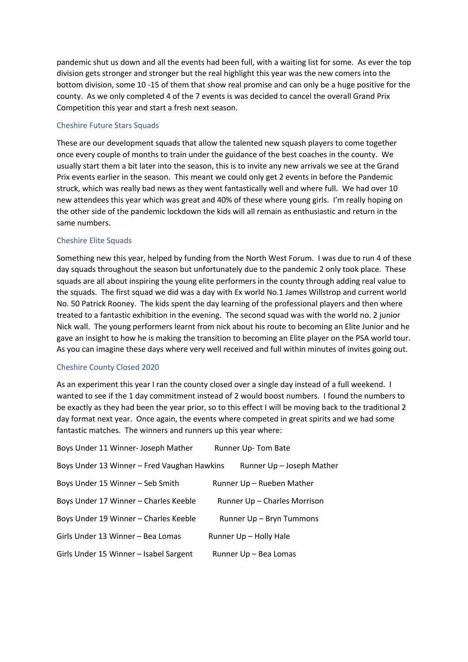pandemic shut us down and all the events had been full, with a waiting list for some. As ever the top division gets stronger and stronger but the real highlight this year was the new comers into the bottom division, some 10 -15 of them that show real promise and can only be a huge positive for the county. As we only completed 4 of the 7 events is was decided to cancel the overall Grand Prix Competition this year and start a fresh next season.

#### Cheshire Future Stars Squads

These are our development squads that allow the talented new squash players to come together once every couple of months to train under the guidance of the best coaches in the county. We usually start them a bit later into the season, this is to invite any new arrivals we see at the Grand Prix events earlier in the season. This meant we could only get 2 events in before the Pandemic struck, which was really bad news as they went fantastically well and where full. We had over 10 new attendees this year which was great and 40% of these where young girls. I'm really hoping on the other side of the pandemic lockdown the kids will all remain as enthusiastic and return in the same numbers.

#### Cheshire Elite Squads

Something new this year, helped by funding from the North West Forum. I was due to run 4 of these day squads throughout the season but unfortunately due to the pandemic 2 only took place. These squads are all about inspiring the young elite performers in the county through adding real value to the squads. The first squad we did was a day with Ex world No.1 James Willstrop and current world No. 50 Patrick Rooney. The kids spent the day learning of the professional players and then where treated to a fantastic exhibition in the evening. The second squad was with the world no. 2 junior Nick wall. The young performers learnt from nick about his route to becoming an Elite Junior and he gave an insight to how he is making the transition to becoming an Elite player on the PSA world tour. As you can imagine these days where very well received and full within minutes of invites going out.

#### Cheshire County Closed 2020

As an experiment this year I ran the county closed over a single day instead of a full weekend. I wanted to see if the 1 day commitment instead of 2 would boost numbers. I found the numbers to be exactly as they had been the year prior, so to this effect I will be moving back to the traditional 2 day format next year. Once again, the events where competed in great spirits and we had some fantastic matches. The winners and runners up this year where:

| Boys Under 11 Winner- Joseph Mather         | Runner Up-Tom Bate           |
|---------------------------------------------|------------------------------|
| Boys Under 13 Winner - Fred Vaughan Hawkins | Runner Up - Joseph Mather    |
| Boys Under 15 Winner - Seb Smith            | Runner Up - Rueben Mather    |
| Boys Under 17 Winner - Charles Keeble       | Runner Up - Charles Morrison |
| Boys Under 19 Winner - Charles Keeble       | Runner Up - Bryn Tummons     |
| Girls Under 13 Winner – Bea Lomas           | Runner Up - Holly Hale       |
| Girls Under 15 Winner - Isabel Sargent      | Runner Up - Bea Lomas        |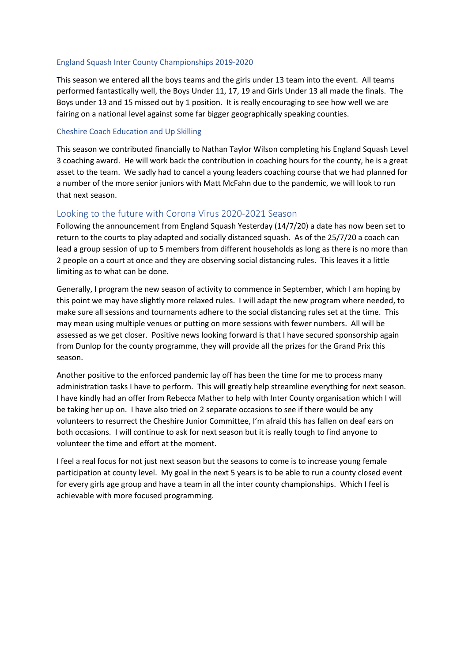#### England Squash Inter County Championships 2019-2020

This season we entered all the boys teams and the girls under 13 team into the event. All teams performed fantastically well, the Boys Under 11, 17, 19 and Girls Under 13 all made the finals. The Boys under 13 and 15 missed out by 1 position. It is really encouraging to see how well we are fairing on a national level against some far bigger geographically speaking counties.

#### Cheshire Coach Education and Up Skilling

This season we contributed financially to Nathan Taylor Wilson completing his England Squash Level 3 coaching award. He will work back the contribution in coaching hours for the county, he is a great asset to the team. We sadly had to cancel a young leaders coaching course that we had planned for a number of the more senior juniors with Matt McFahn due to the pandemic, we will look to run that next season.

#### Looking to the future with Corona Virus 2020-2021 Season

Following the announcement from England Squash Yesterday (14/7/20) a date has now been set to return to the courts to play adapted and socially distanced squash. As of the 25/7/20 a coach can lead a group session of up to 5 members from different households as long as there is no more than 2 people on a court at once and they are observing social distancing rules. This leaves it a little limiting as to what can be done.

Generally, I program the new season of activity to commence in September, which I am hoping by this point we may have slightly more relaxed rules. I will adapt the new program where needed, to make sure all sessions and tournaments adhere to the social distancing rules set at the time. This may mean using multiple venues or putting on more sessions with fewer numbers. All will be assessed as we get closer. Positive news looking forward is that I have secured sponsorship again from Dunlop for the county programme, they will provide all the prizes for the Grand Prix this season.

Another positive to the enforced pandemic lay off has been the time for me to process many administration tasks I have to perform. This will greatly help streamline everything for next season. I have kindly had an offer from Rebecca Mather to help with Inter County organisation which I will be taking her up on. I have also tried on 2 separate occasions to see if there would be any volunteers to resurrect the Cheshire Junior Committee, I'm afraid this has fallen on deaf ears on both occasions. I will continue to ask for next season but it is really tough to find anyone to volunteer the time and effort at the moment.

I feel a real focus for not just next season but the seasons to come is to increase young female participation at county level. My goal in the next 5 years is to be able to run a county closed event for every girls age group and have a team in all the inter county championships. Which I feel is achievable with more focused programming.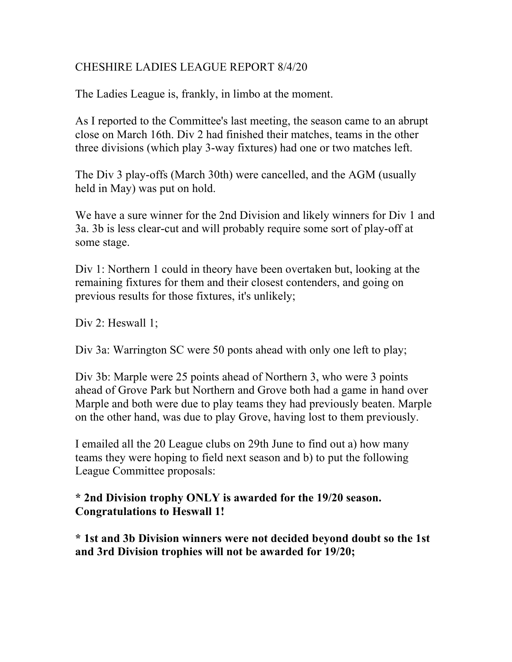## CHESHIRE LADIES LEAGUE REPORT 8/4/20

The Ladies League is, frankly, in limbo at the moment.

As I reported to the Committee's last meeting, the season came to an abrupt close on March 16th. Div 2 had finished their matches, teams in the other three divisions (which play 3-way fixtures) had one or two matches left.

The Div 3 play-offs (March 30th) were cancelled, and the AGM (usually held in May) was put on hold.

We have a sure winner for the 2nd Division and likely winners for Div 1 and 3a. 3b is less clear-cut and will probably require some sort of play-off at some stage.

Div 1: Northern 1 could in theory have been overtaken but, looking at the remaining fixtures for them and their closest contenders, and going on previous results for those fixtures, it's unlikely;

Div 2: Heswall 1;

Div 3a: Warrington SC were 50 ponts ahead with only one left to play;

Div 3b: Marple were 25 points ahead of Northern 3, who were 3 points ahead of Grove Park but Northern and Grove both had a game in hand over Marple and both were due to play teams they had previously beaten. Marple on the other hand, was due to play Grove, having lost to them previously.

I emailed all the 20 League clubs on 29th June to find out a) how many teams they were hoping to field next season and b) to put the following League Committee proposals:

# **\* 2nd Division trophy ONLY is awarded for the 19/20 season. Congratulations to Heswall 1!**

**\* 1st and 3b Division winners were not decided beyond doubt so the 1st and 3rd Division trophies will not be awarded for 19/20;**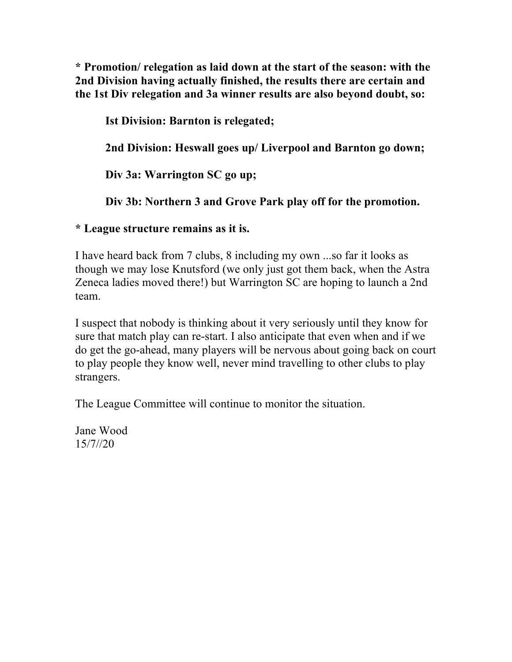**\* Promotion/ relegation as laid down at the start of the season: with the 2nd Division having actually finished, the results there are certain and the 1st Div relegation and 3a winner results are also beyond doubt, so:**

**Ist Division: Barnton is relegated; 2nd Division: Heswall goes up/ Liverpool and Barnton go down; Div 3a: Warrington SC go up; Div 3b: Northern 3 and Grove Park play off for the promotion.**

**\* League structure remains as it is.**

I have heard back from 7 clubs, 8 including my own ...so far it looks as though we may lose Knutsford (we only just got them back, when the Astra Zeneca ladies moved there!) but Warrington SC are hoping to launch a 2nd team.

I suspect that nobody is thinking about it very seriously until they know for sure that match play can re-start. I also anticipate that even when and if we do get the go-ahead, many players will be nervous about going back on court to play people they know well, never mind travelling to other clubs to play strangers.

The League Committee will continue to monitor the situation.

Jane Wood 15/7//20